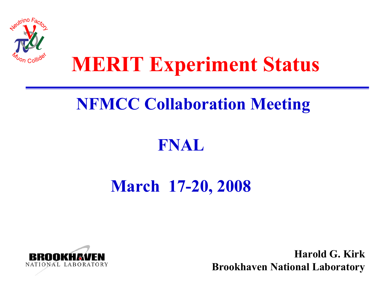

## **MERIT Experiment Status**

### **NFMCC Collaboration Meeting**

#### **FNAL**

### **March 17-20, 2008**



**Harold G. KirkBrookhaven National Laboratory**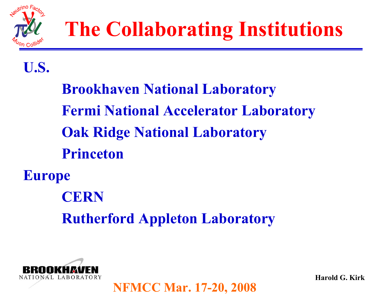

#### **U.S.**

**Brookhaven National Laboratory Fermi National Accelerator Laboratory Oak Ridge National Laboratory PrincetonEurope CERNRutherford Appleton Laboratory**

**NFMCC Mar. 17-20, 2008**

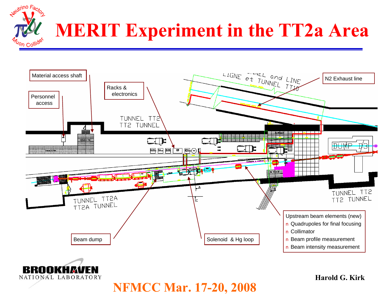



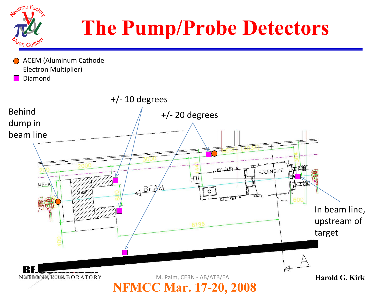

# **The Pump/Probe Detectors**

ACEM (Aluminum Cathode Electron Multiplier) Diamond

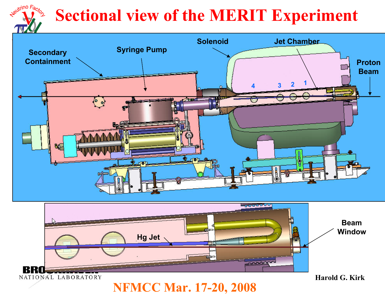## **Sectional view of the MERIT Experiment**

eutrino Facto





**NFMCC Mar. 17-20, 2008**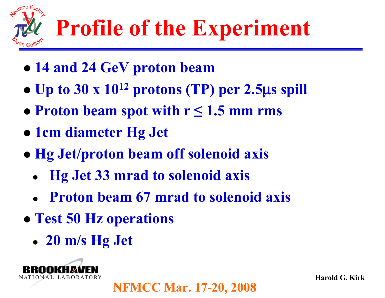

- z **14 and 24 GeV proton beam**
- $\bullet$ **Up to 30 x 1012 protons (TP) per 2.5**μ**s spill**
- z **Proton beam spot with r ≤ 1.5 mm rms**
- z **1cm diameter Hg Jet**
- z **Hg Jet/proton beam off solenoid axis**
	- z **Hg Jet 33 mrad to solenoid axis**
	- z **Proton beam 67 mrad to solenoid axis**

- z **Test 50 Hz operations**
	- z **20 m/s Hg Jet**

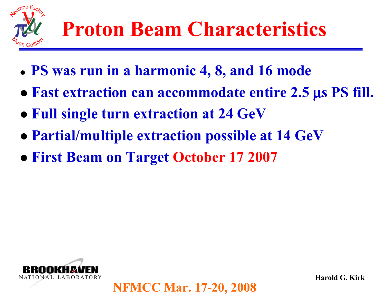

- z **PS was run in a harmonic 4, 8, and 16 mode**
- **Fast extraction can accommodate entire 2.5 μs PS fill.**
- **Full single turn extraction at 24 GeV**
- **Partial/multiple extraction possible at 14 GeV**

z **First Beam on Target October 17 2007**

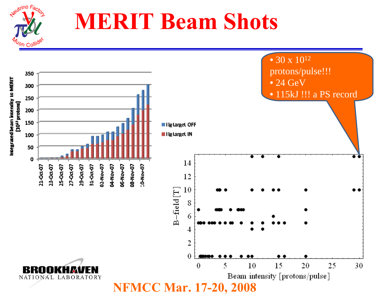

# **MERIT Beam Shots**

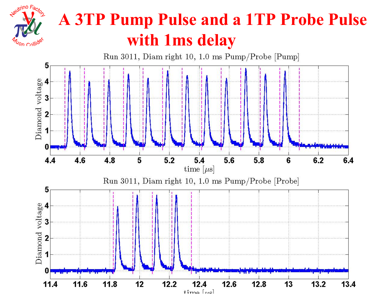

### **A 3TP Pump Pulse and a 1TP Probe Pulse with 1ms delay**

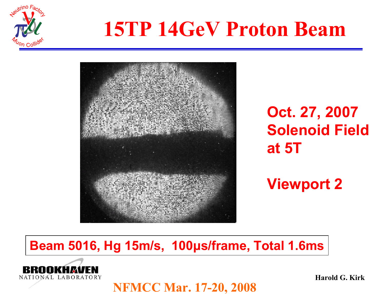

## **15TP 14GeV Proton Beam**



**Oct. 27, 2007 Solenoid Field at 5T**

**Viewport 2**

#### **Beam 5016, Hg 15m/s, 100μs/frame, Total 1.6ms**

**NFMCC Mar. 17-20, 2008**

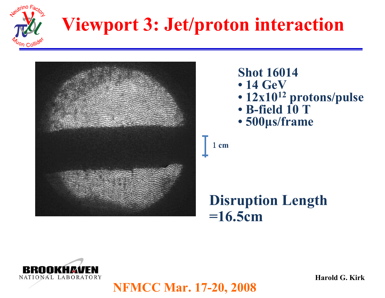

## **Viewport 3: Jet/proton interaction**



- **Shot 16014**• **14 GeV**
- **12x1012 protons/pulse**
- **B-field 10 T**
- **500μs/frame**

1 **cm**

**NFMCC Mar. 17-20, 2008**

#### **Disruption Length =16.5cm**

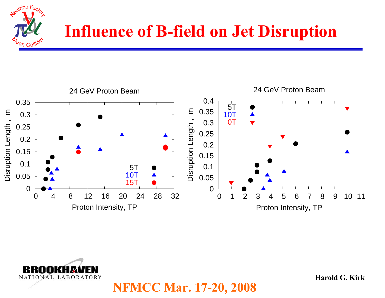



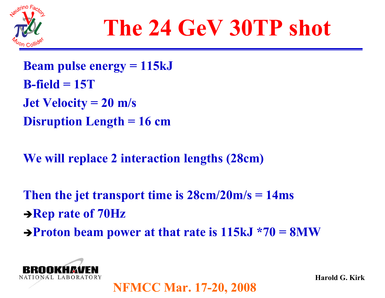

# **The 24 GeV 30TP shot**

**Beam pulse energy = 115kJ B-field = 15TJet Velocity = 20 m/s Disruption Length = 16 cm**

**We will replace 2 interaction lengths (28cm)**

**Then the jet transport time is 28cm/20m/s = 14ms → Rep rate of 70Hz** → **Proton beam power at that rate is 115kJ \*70 = 8MW** 

**NFMCC Mar. 17-20, 2008**

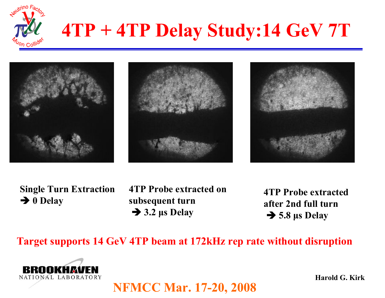

## **4TP + 4TP Delay Study:14 GeV 7T**







**Single Turn Extraction → 0 Delay** 

**4TP Probe extracted on subsequent turn** Î **3.2 μs Delay**

**4TP Probe extracted after 2nd full turn**Î **5.8 μs Delay**

**Target supports 14 GeV 4TP beam at 172kHz rep rate without disruption**

**NFMCC Mar. 17-20, 2008**

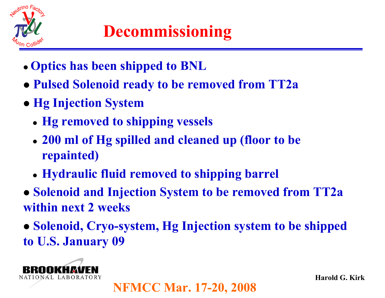

### **Decommissioning**

- z **Optics has been shipped to BNL**
- z **Pulsed Solenoid ready to be removed from TT2a**
- **Hg Injection System** 
	- **Hg removed to shipping vessels**
	- z **200 ml of Hg spilled and cleaned up (floor to be repainted)**
	- z **Hydraulic fluid removed to shipping barrel**
- z **Solenoid and Injection System to be removed from TT2a within next 2 weeks**
- z **Solenoid, Cryo-system, Hg Injection system to be shipped to U.S. January 09**

**NFMCC Mar. 17-20, 2008**

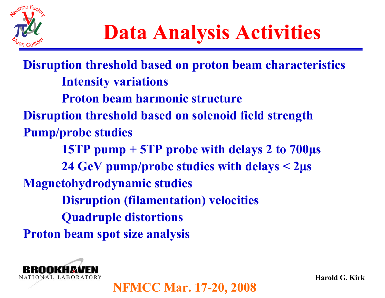

**Disruption threshold based on proton beam characteristics Intensity variations Proton beam harmonic structureDisruption threshold based on solenoid field strength Pump/probe studies 15TP pump + 5TP probe with delays 2 to 700μ<sup>s</sup> 24 GeV pump/probe studies with delays < 2μ<sup>s</sup> Magnetohydrodynamic studies Disruption (filamentation) velocities Quadruple distortions Proton beam spot size analysis**



**NFMCC Mar. 17-20, 2008**